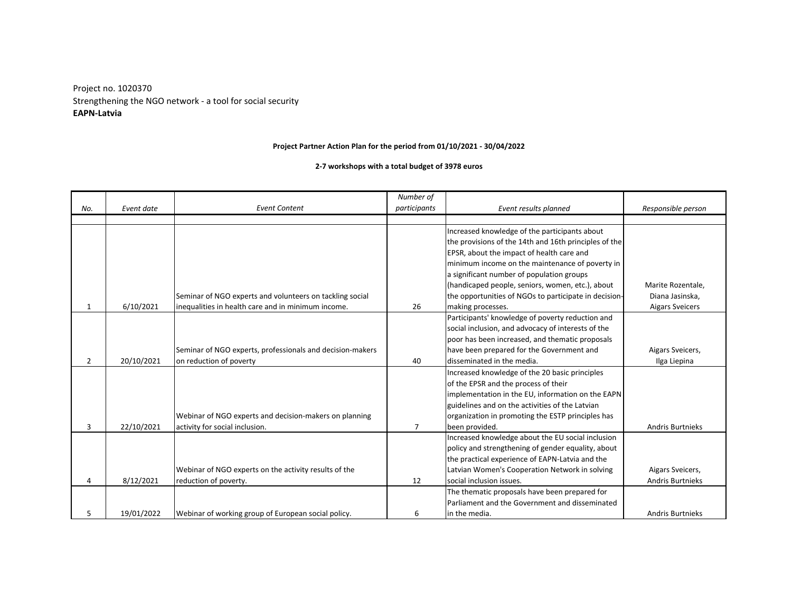**EAPN-Latvia** Strengthening the NGO network - a tool for social security Project no. 1020370

## **Project Partner Action Plan for the period from 01/10/2021 - 30/04/2022**

**2-7 workshops with a total budget of 3978 euros**

|     |            |                                                           | Number of    |                                                       |                         |
|-----|------------|-----------------------------------------------------------|--------------|-------------------------------------------------------|-------------------------|
| No. | Event date | <b>Event Content</b>                                      | participants | Event results planned                                 | Responsible person      |
|     |            |                                                           |              |                                                       |                         |
|     |            |                                                           |              | Increased knowledge of the participants about         |                         |
|     |            |                                                           |              | the provisions of the 14th and 16th principles of the |                         |
|     |            |                                                           |              | EPSR, about the impact of health care and             |                         |
|     |            |                                                           |              | minimum income on the maintenance of poverty in       |                         |
|     |            |                                                           |              | a significant number of population groups             |                         |
|     |            |                                                           |              | (handicaped people, seniors, women, etc.), about      | Marite Rozentale,       |
|     |            | Seminar of NGO experts and volunteers on tackling social  |              | the opportunities of NGOs to participate in decision- | Diana Jasinska,         |
| 1   | 6/10/2021  | inequalities in health care and in minimum income.        | 26           | making processes.                                     | <b>Aigars Sveicers</b>  |
|     |            |                                                           |              | Participants' knowledge of poverty reduction and      |                         |
|     |            |                                                           |              | social inclusion, and advocacy of interests of the    |                         |
|     |            |                                                           |              | poor has been increased, and thematic proposals       |                         |
|     |            | Seminar of NGO experts, professionals and decision-makers |              | have been prepared for the Government and             | Aigars Sveicers,        |
| 2   | 20/10/2021 | on reduction of poverty                                   | 40           | disseminated in the media.                            | Ilga Liepina            |
|     |            |                                                           |              | Increased knowledge of the 20 basic principles        |                         |
|     |            |                                                           |              | of the EPSR and the process of their                  |                         |
|     |            |                                                           |              | implementation in the EU, information on the EAPN     |                         |
|     |            |                                                           |              | guidelines and on the activities of the Latvian       |                         |
|     |            | Webinar of NGO experts and decision-makers on planning    |              | organization in promoting the ESTP principles has     |                         |
| 3   | 22/10/2021 | activity for social inclusion.                            | 7            | been provided.                                        | <b>Andris Burtnieks</b> |
|     |            |                                                           |              | Increased knowledge about the EU social inclusion     |                         |
|     |            |                                                           |              | policy and strengthening of gender equality, about    |                         |
|     |            |                                                           |              | the practical experience of EAPN-Latvia and the       |                         |
|     |            | Webinar of NGO experts on the activity results of the     |              | Latvian Women's Cooperation Network in solving        | Aigars Sveicers,        |
| 4   | 8/12/2021  | reduction of poverty.                                     | 12           | social inclusion issues.                              | <b>Andris Burtnieks</b> |
|     |            |                                                           |              | The thematic proposals have been prepared for         |                         |
|     |            |                                                           |              | Parliament and the Government and disseminated        |                         |
| 5   | 19/01/2022 | Webinar of working group of European social policy.       | 6            | in the media.                                         | <b>Andris Burtnieks</b> |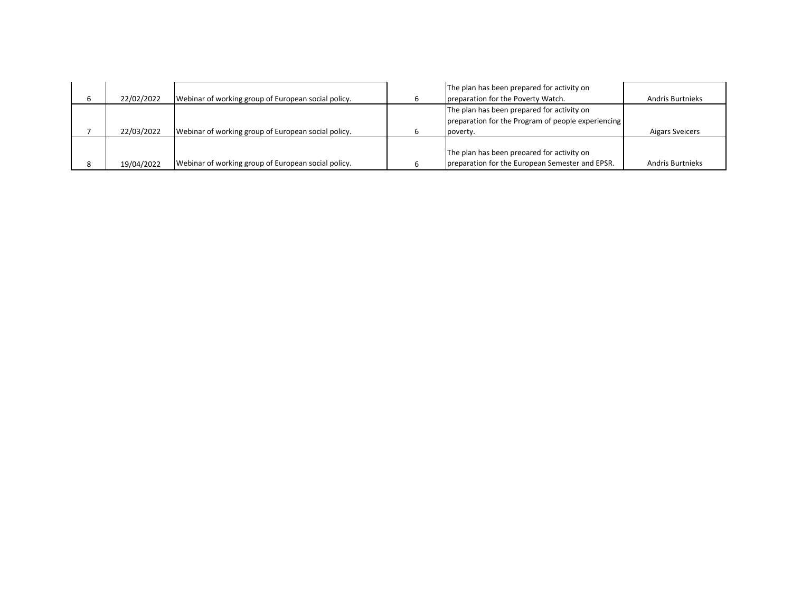|            |                                                     | The plan has been prepared for activity on         |                         |
|------------|-----------------------------------------------------|----------------------------------------------------|-------------------------|
| 22/02/2022 | Webinar of working group of European social policy. | preparation for the Poverty Watch.                 | <b>Andris Burtnieks</b> |
|            |                                                     | The plan has been prepared for activity on         |                         |
|            |                                                     | preparation for the Program of people experiencing |                         |
| 22/03/2022 | Webinar of working group of European social policy. | poverty.                                           | <b>Aigars Sveicers</b>  |
|            |                                                     |                                                    |                         |
|            |                                                     | The plan has been preoared for activity on         |                         |
| 19/04/2022 | Webinar of working group of European social policy. | preparation for the European Semester and EPSR.    | <b>Andris Burtnieks</b> |